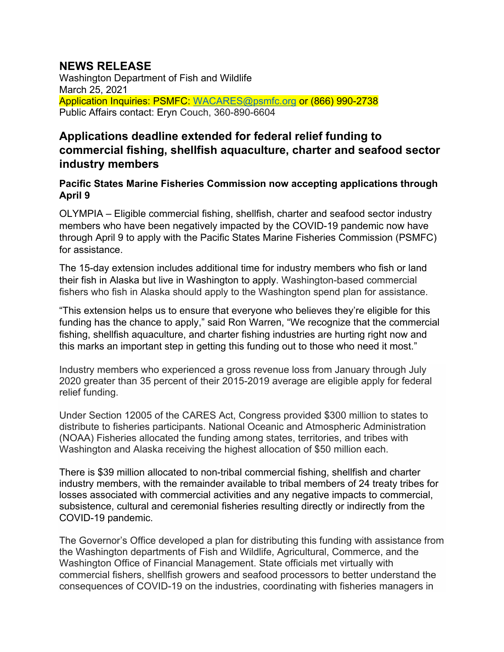## **NEWS RELEASE**

Washington Department of Fish and Wildlife March 25, 2021 Application Inquiries: PSMFC: [WACARES@psmfc.org](mailto:WACARES@psmfc.org) or (866) 990-2738 Public Affairs contact: Eryn Couch, 360-890-6604

## **Applications deadline extended for federal relief funding to commercial fishing, shellfish aquaculture, charter and seafood sector industry members**

## **Pacific States Marine Fisheries Commission now accepting applications through April 9**

OLYMPIA – Eligible commercial fishing, shellfish, charter and seafood sector industry members who have been negatively impacted by the COVID-19 pandemic now have through April 9 to apply with the Pacific States Marine Fisheries Commission (PSMFC) for assistance.

The 15-day extension includes additional time for industry members who fish or land their fish in Alaska but live in Washington to apply. Washington-based commercial fishers who fish in Alaska should apply to the Washington spend plan for assistance.

"This extension helps us to ensure that everyone who believes they're eligible for this funding has the chance to apply," said Ron Warren, "We recognize that the commercial fishing, shellfish aquaculture, and charter fishing industries are hurting right now and this marks an important step in getting this funding out to those who need it most."

Industry members who experienced a gross revenue loss from January through July 2020 greater than 35 percent of their 2015-2019 average are eligible apply for federal relief funding.

Under Section 12005 of the CARES Act, Congress provided \$300 million to states to distribute to fisheries participants. National Oceanic and Atmospheric Administration (NOAA) Fisheries allocated the funding among states, territories, and tribes with Washington and Alaska receiving the highest allocation of \$50 million each.

There is \$39 million allocated to non-tribal commercial fishing, shellfish and charter industry members, with the remainder available to tribal members of 24 treaty tribes for losses associated with commercial activities and any negative impacts to commercial, subsistence, cultural and ceremonial fisheries resulting directly or indirectly from the COVID-19 pandemic.

The Governor's Office developed a plan for distributing this funding with assistance from the Washington departments of Fish and Wildlife, Agricultural, Commerce, and the Washington Office of Financial Management. State officials met virtually with commercial fishers, shellfish growers and seafood processors to better understand the consequences of COVID-19 on the industries, coordinating with fisheries managers in